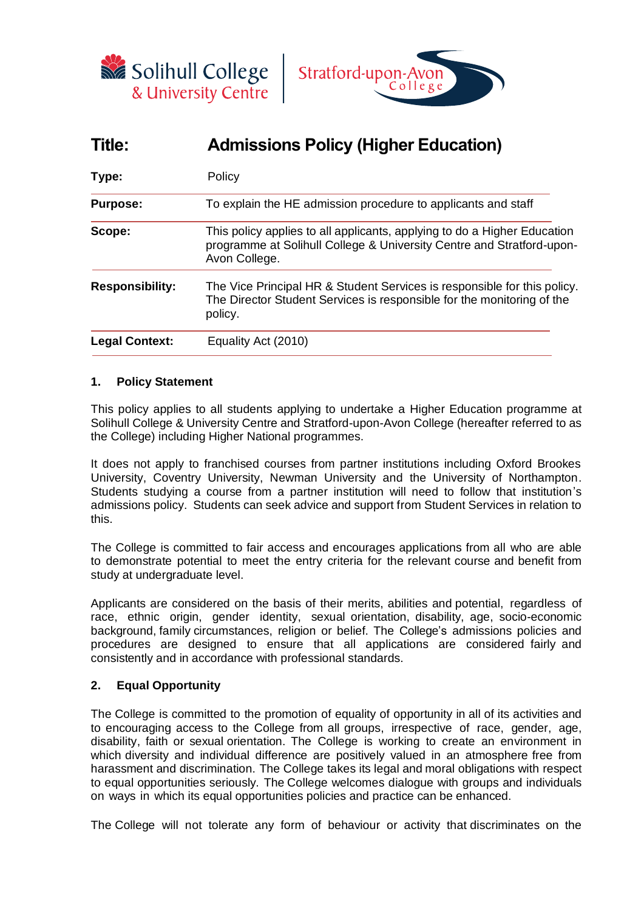



# **Title: Admissions Policy (Higher Education)**

| Type:                  | Policy                                                                                                                                                             |  |  |
|------------------------|--------------------------------------------------------------------------------------------------------------------------------------------------------------------|--|--|
| <b>Purpose:</b>        | To explain the HE admission procedure to applicants and staff                                                                                                      |  |  |
| Scope:                 | This policy applies to all applicants, applying to do a Higher Education<br>programme at Solihull College & University Centre and Stratford-upon-<br>Avon College. |  |  |
| <b>Responsibility:</b> | The Vice Principal HR & Student Services is responsible for this policy.<br>The Director Student Services is responsible for the monitoring of the<br>policy.      |  |  |
| <b>Legal Context:</b>  | Equality Act (2010)                                                                                                                                                |  |  |

## **1. Policy Statement**

This policy applies to all students applying to undertake a Higher Education programme at Solihull College & University Centre and Stratford-upon-Avon College (hereafter referred to as the College) including Higher National programmes.

It does not apply to franchised courses from partner institutions including Oxford Brookes University, Coventry University, Newman University and the University of Northampton. Students studying a course from a partner institution will need to follow that institution's admissions policy. Students can seek advice and support from Student Services in relation to this.

The College is committed to fair access and encourages applications from all who are able to demonstrate potential to meet the entry criteria for the relevant course and benefit from study at undergraduate level.

Applicants are considered on the basis of their merits, abilities and potential, regardless of race, ethnic origin, gender identity, sexual orientation, disability, age, socio-economic background, family circumstances, religion or belief. The College's admissions policies and procedures are designed to ensure that all applications are considered fairly and consistently and in accordance with professional standards.

# **2. Equal Opportunity**

The College is committed to the promotion of equality of opportunity in all of its activities and to encouraging access to the College from all groups, irrespective of race, gender, age, disability, faith or sexual orientation. The College is working to create an environment in which diversity and individual difference are positively valued in an atmosphere free from harassment and discrimination. The College takes its legal and moral obligations with respect to equal opportunities seriously. The College welcomes dialogue with groups and individuals on ways in which its equal opportunities policies and practice can be enhanced.

The College will not tolerate any form of behaviour or activity that discriminates on the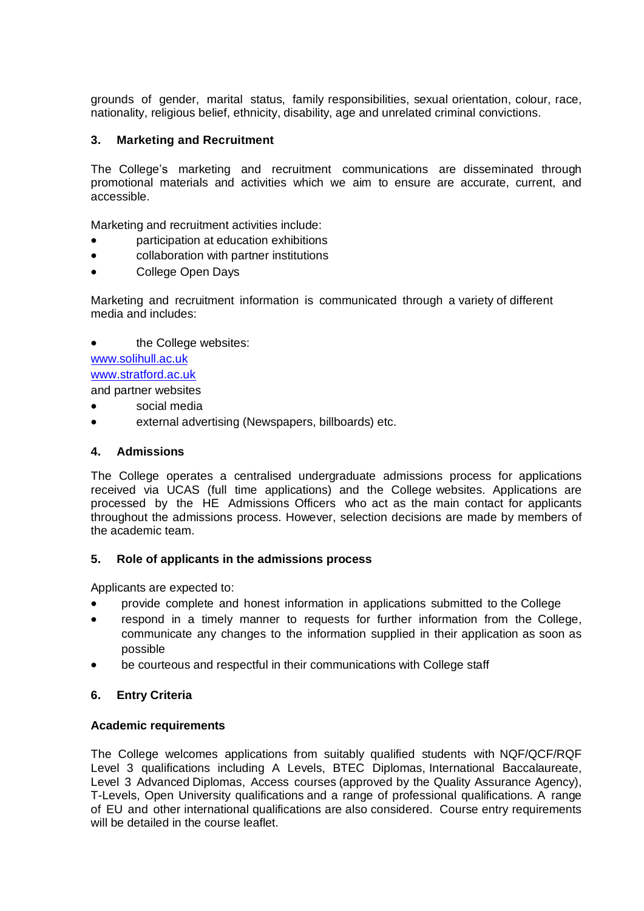grounds of gender, marital status, family responsibilities, sexual orientation, colour, race, nationality, religious belief, ethnicity, disability, age and unrelated criminal convictions.

# **3. Marketing and Recruitment**

The College's marketing and recruitment communications are disseminated through promotional materials and activities which we aim to ensure are accurate, current, and accessible.

Marketing and recruitment activities include:

- participation at education exhibitions
- collaboration with partner institutions
- College Open Days

Marketing and recruitment information is communicated through a variety of different media and includes:

the College websites: [www.solihull.ac.uk](http://www.solihull.ac.ukwww.stratford.ac.uk/)

[www.stratford.ac.uk](http://www.solihull.ac.ukwww.stratford.ac.uk/)

and partner websites

- social media
- external advertising (Newspapers, billboards) etc.

## **4. Admissions**

The College operates a centralised undergraduate admissions process for applications received via UCAS (full time applications) and the College websites. Applications are processed by the HE Admissions Officers who act as the main contact for applicants throughout the admissions process. However, selection decisions are made by members of the academic team.

## **5. Role of applicants in the admissions process**

Applicants are expected to:

- provide complete and honest information in applications submitted to the College
- respond in a timely manner to requests for further information from the College, communicate any changes to the information supplied in their application as soon as possible
- be courteous and respectful in their communications with College staff

# **6. Entry Criteria**

## **Academic requirements**

The College welcomes applications from suitably qualified students with NQF/QCF/RQF Level 3 qualifications including A Levels, BTEC Diplomas, International Baccalaureate, Level 3 Advanced Diplomas, Access courses (approved by the Quality Assurance Agency), T-Levels, Open University qualifications and a range of professional qualifications. A range of EU and other international qualifications are also considered. Course entry requirements will be detailed in the course leaflet.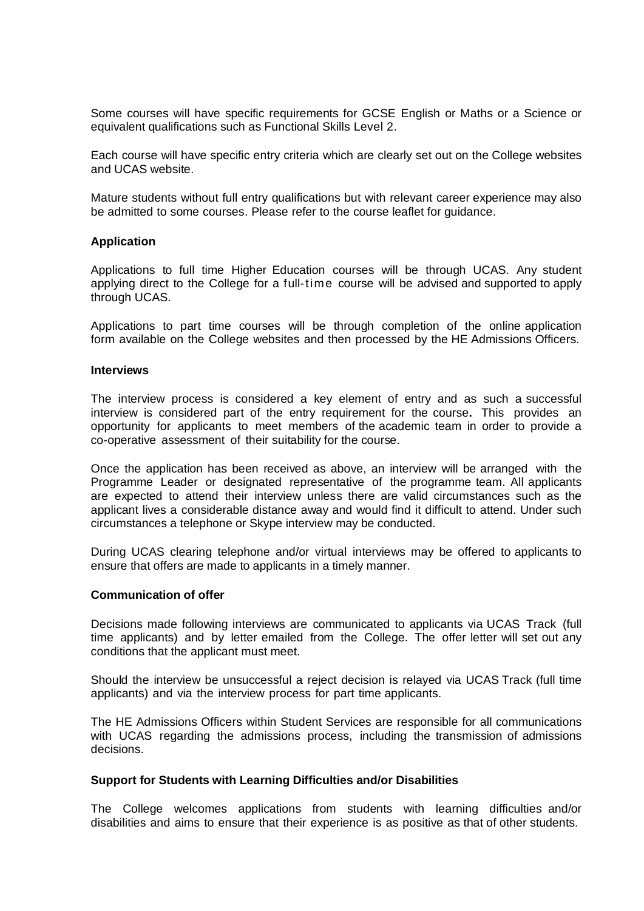Some courses will have specific requirements for GCSE English or Maths or a Science or equivalent qualifications such as Functional Skills Level 2.

Each course will have specific entry criteria which are clearly set out on the College websites and UCAS website.

Mature students without full entry qualifications but with relevant career experience may also be admitted to some courses. Please refer to the course leaflet for guidance.

#### **Application**

Applications to full time Higher Education courses will be through UCAS. Any student applying direct to the College for a full-time course will be advised and supported to apply through UCAS.

Applications to part time courses will be through completion of the online application form available on the College websites and then processed by the HE Admissions Officers.

#### **Interviews**

The interview process is considered a key element of entry and as such a successful interview is considered part of the entry requirement for the course**.** This provides an opportunity for applicants to meet members of the academic team in order to provide a co-operative assessment of their suitability for the course.

Once the application has been received as above, an interview will be arranged with the Programme Leader or designated representative of the programme team. All applicants are expected to attend their interview unless there are valid circumstances such as the applicant lives a considerable distance away and would find it difficult to attend. Under such circumstances a telephone or Skype interview may be conducted.

During UCAS clearing telephone and/or virtual interviews may be offered to applicants to ensure that offers are made to applicants in a timely manner.

#### **Communication of offer**

Decisions made following interviews are communicated to applicants via UCAS Track (full time applicants) and by letter emailed from the College. The offer letter will set out any conditions that the applicant must meet.

Should the interview be unsuccessful a reject decision is relayed via UCAS Track (full time applicants) and via the interview process for part time applicants.

The HE Admissions Officers within Student Services are responsible for all communications with UCAS regarding the admissions process, including the transmission of admissions decisions.

#### **Support for Students with Learning Difficulties and/or Disabilities**

The College welcomes applications from students with learning difficulties and/or disabilities and aims to ensure that their experience is as positive as that of other students.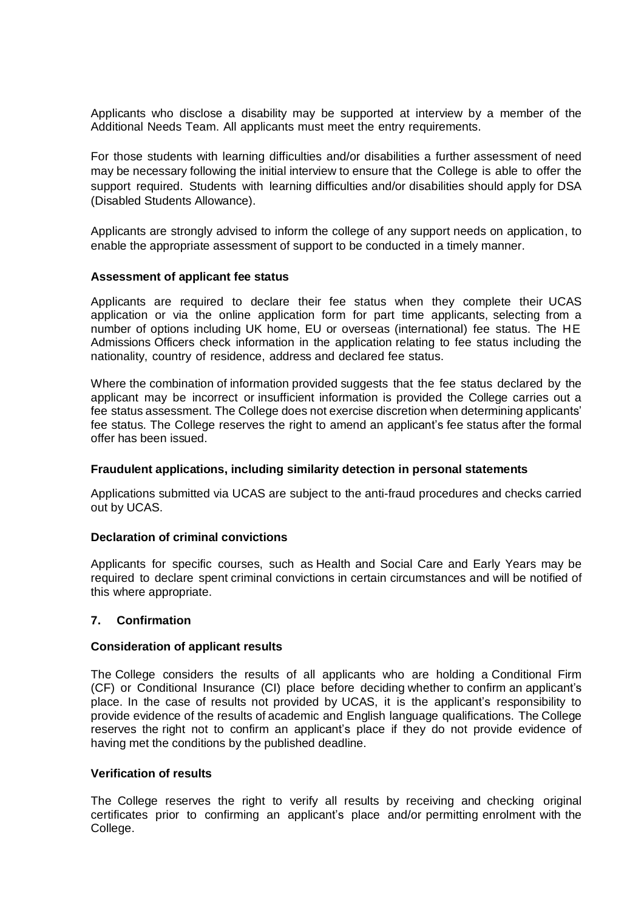Applicants who disclose a disability may be supported at interview by a member of the Additional Needs Team. All applicants must meet the entry requirements.

For those students with learning difficulties and/or disabilities a further assessment of need may be necessary following the initial interview to ensure that the College is able to offer the support required. Students with learning difficulties and/or disabilities should apply for DSA (Disabled Students Allowance).

Applicants are strongly advised to inform the college of any support needs on application, to enable the appropriate assessment of support to be conducted in a timely manner.

## **Assessment of applicant fee status**

Applicants are required to declare their fee status when they complete their UCAS application or via the online application form for part time applicants, selecting from a number of options including UK home, EU or overseas (international) fee status. The HE Admissions Officers check information in the application relating to fee status including the nationality, country of residence, address and declared fee status.

Where the combination of information provided suggests that the fee status declared by the applicant may be incorrect or insufficient information is provided the College carries out a fee status assessment. The College does not exercise discretion when determining applicants' fee status. The College reserves the right to amend an applicant's fee status after the formal offer has been issued.

## **Fraudulent applications, including similarity detection in personal statements**

Applications submitted via UCAS are subject to the anti-fraud procedures and checks carried out by UCAS.

## **Declaration of criminal convictions**

Applicants for specific courses, such as Health and Social Care and Early Years may be required to declare spent criminal convictions in certain circumstances and will be notified of this where appropriate.

## **7. Confirmation**

#### **Consideration of applicant results**

The College considers the results of all applicants who are holding a Conditional Firm (CF) or Conditional Insurance (CI) place before deciding whether to confirm an applicant's place. In the case of results not provided by UCAS, it is the applicant's responsibility to provide evidence of the results of academic and English language qualifications. The College reserves the right not to confirm an applicant's place if they do not provide evidence of having met the conditions by the published deadline.

#### **Verification of results**

The College reserves the right to verify all results by receiving and checking original certificates prior to confirming an applicant's place and/or permitting enrolment with the College.